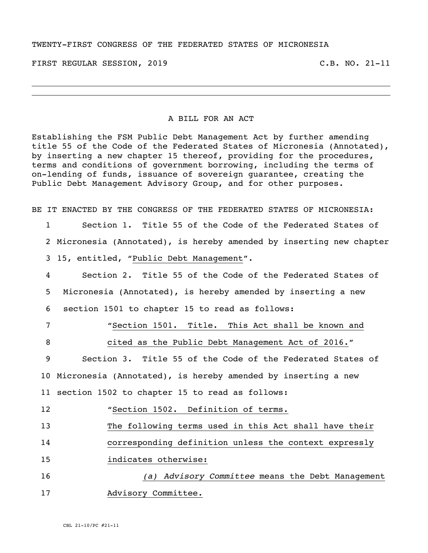## TWENTY-FIRST CONGRESS OF THE FEDERATED STATES OF MICRONESIA

FIRST REGULAR SESSION, 2019 C.B. NO. 21-11

## A BILL FOR AN ACT

Establishing the FSM Public Debt Management Act by further amending title 55 of the Code of the Federated States of Micronesia (Annotated), by inserting a new chapter 15 thereof, providing for the procedures, terms and conditions of government borrowing, including the terms of on-lending of funds, issuance of sovereign guarantee, creating the Public Debt Management Advisory Group, and for other purposes.

BE IT ENACTED BY THE CONGRESS OF THE FEDERATED STATES OF MICRONESIA:

1 Section 1. Title 55 of the Code of the Federated States of

2 Micronesia (Annotated), is hereby amended by inserting new chapter

3 15, entitled, "Public Debt Management".

4 Section 2. Title 55 of the Code of the Federated States of 5 Micronesia (Annotated), is hereby amended by inserting a new 6 section 1501 to chapter 15 to read as follows:

7 "Section 1501. Title. This Act shall be known and

8 cited as the Public Debt Management Act of 2016."

9 Section 3. Title 55 of the Code of the Federated States of 10 Micronesia (Annotated), is hereby amended by inserting a new 11 section 1502 to chapter 15 to read as follows:

12 "Section 1502. Definition of terms.

13 The following terms used in this Act shall have their

14 corresponding definition unless the context expressly

15 indicates otherwise:

16 *(a) Advisory Committee* means the Debt Management 17 Malayisory Committee.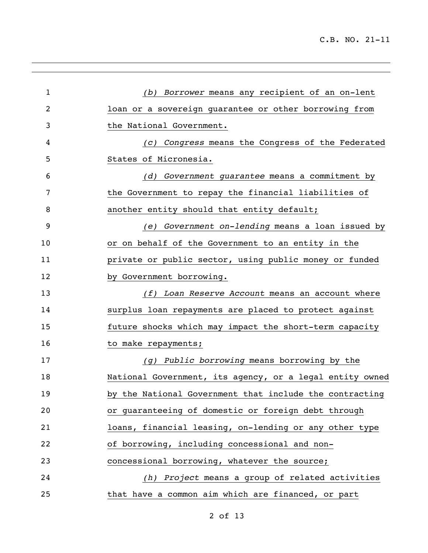| $\mathbf{1}$ | (b) Borrower means any recipient of an on-lent           |
|--------------|----------------------------------------------------------|
| 2            | loan or a sovereign guarantee or other borrowing from    |
| 3            | the National Government.                                 |
| 4            | (c) Congress means the Congress of the Federated         |
| 5            | States of Micronesia.                                    |
| 6            | (d) Government guarantee means a commitment by           |
| 7            | the Government to repay the financial liabilities of     |
| 8            | another entity should that entity default;               |
| 9            | (e) Government on-lending means a loan issued by         |
| 10           | or on behalf of the Government to an entity in the       |
| 11           | private or public sector, using public money or funded   |
| 12           | by Government borrowing.                                 |
| 13           | (f) Loan Reserve Account means an account where          |
| 14           | surplus loan repayments are placed to protect against    |
| 15           | future shocks which may impact the short-term capacity   |
| 16           | to make repayments;                                      |
| 17           | (g) Public borrowing means borrowing by the              |
| 18           | National Government, its agency, or a legal entity owned |
| 19           | by the National Government that include the contracting  |
| 20           | or guaranteeing of domestic or foreign debt through      |
| 21           | loans, financial leasing, on-lending or any other type   |
| 22           | of borrowing, including concessional and non-            |
| 23           | concessional borrowing, whatever the source;             |
| 24           | (h) Project means a group of related activities          |
| 25           | that have a common aim which are financed, or part       |
|              |                                                          |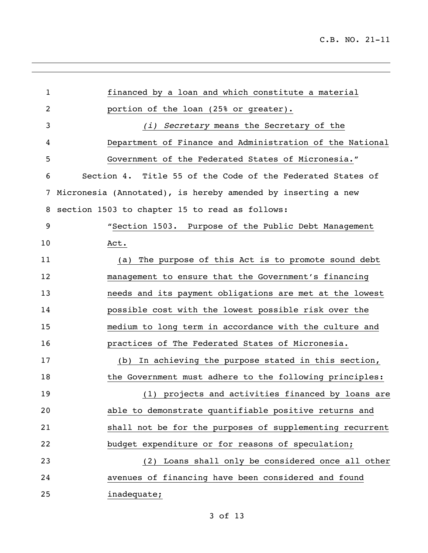| $\mathbf{1}$ | financed by a loan and which constitute a material           |
|--------------|--------------------------------------------------------------|
| 2            | portion of the loan (25% or greater).                        |
| 3            | Secretary means the Secretary of the<br>(i)                  |
| 4            | Department of Finance and Administration of the National     |
| 5            | Government of the Federated States of Micronesia."           |
| 6            | Section 4. Title 55 of the Code of the Federated States of   |
| 7            | Micronesia (Annotated), is hereby amended by inserting a new |
| 8            | section 1503 to chapter 15 to read as follows:               |
| 9            | "Section 1503. Purpose of the Public Debt Management         |
| 10           | Act.                                                         |
| 11           | The purpose of this Act is to promote sound debt<br>(a)      |
| 12           | management to ensure that the Government's financing         |
| 13           | needs and its payment obligations are met at the lowest      |
| 14           | possible cost with the lowest possible risk over the         |
| 15           | medium to long term in accordance with the culture and       |
| 16           | practices of The Federated States of Micronesia.             |
| 17           | (b) In achieving the purpose stated in this section,         |
| 18           | the Government must adhere to the following principles:      |
| 19           | (1) projects and activities financed by loans are            |
| 20           | able to demonstrate quantifiable positive returns and        |
| 21           | shall not be for the purposes of supplementing recurrent     |
| 22           | budget expenditure or for reasons of speculation;            |
| 23           | Loans shall only be considered once all other<br>(2)         |
| 24           | avenues of financing have been considered and found          |
| 25           | inadequate;                                                  |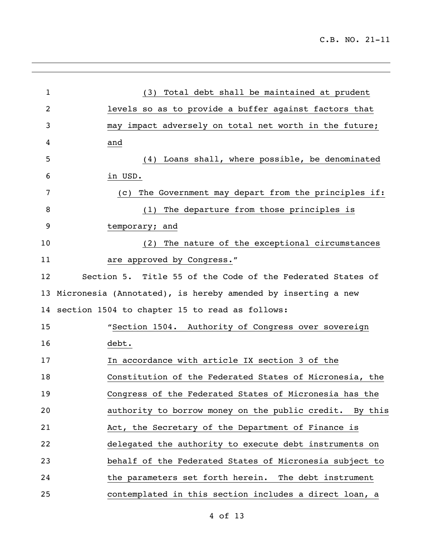| $\mathbf{1}$ | Total debt shall be maintained at prudent<br>(3)             |
|--------------|--------------------------------------------------------------|
| 2            | levels so as to provide a buffer against factors that        |
| 3            | impact adversely on total net worth in the future;<br>may    |
| 4            | and                                                          |
| 5            | (4) Loans shall, where possible, be denominated              |
| 6            | in USD.                                                      |
| 7            | The Government may depart from the principles if:<br>(C)     |
| 8            | The departure from those principles is<br>(1)                |
| 9            | temporary; and                                               |
| 10           | The nature of the exceptional circumstances<br>(2)           |
| 11           | are approved by Congress."                                   |
| 12           | Section 5. Title 55 of the Code of the Federated States of   |
| 13           | Micronesia (Annotated), is hereby amended by inserting a new |
|              | 14 section 1504 to chapter 15 to read as follows:            |
| 15           | "Section 1504. Authority of Congress over sovereign          |
| 16           | debt.                                                        |
| 17           | In accordance with article IX section 3 of the               |
| 18           | Constitution of the Federated States of Micronesia, the      |
| 19           | Congress of the Federated States of Micronesia has the       |
| 20           | authority to borrow money on the public credit. By this      |
| 21           | Act, the Secretary of the Department of Finance is           |
| 22           | delegated the authority to execute debt instruments on       |
| 23           | behalf of the Federated States of Micronesia subject to      |
| 24           | the parameters set forth herein. The debt instrument         |
| 25           | contemplated in this section includes a direct loan, a       |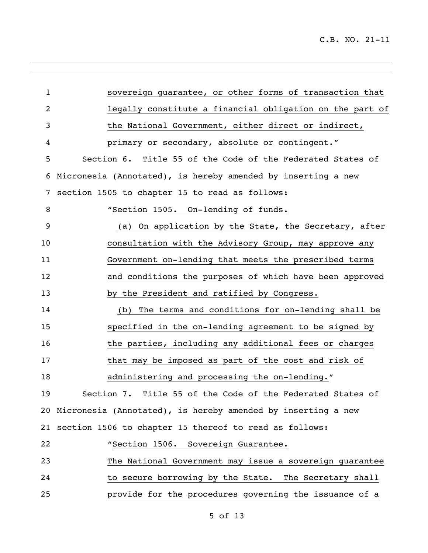| $\mathbf{1}$   | sovereign guarantee, or other forms of transaction that         |
|----------------|-----------------------------------------------------------------|
| $\overline{2}$ | legally constitute a financial obligation on the part of        |
| $\mathsf{3}$   | the National Government, either direct or indirect,             |
| 4              | primary or secondary, absolute or contingent."                  |
| 5              | Section 6. Title 55 of the Code of the Federated States of      |
| 6              | Micronesia (Annotated), is hereby amended by inserting a new    |
| 7              | section 1505 to chapter 15 to read as follows:                  |
|                |                                                                 |
| 8              | "Section 1505. On-lending of funds.                             |
| 9              | (a) On application by the State, the Secretary, after           |
| 10             | consultation with the Advisory Group, may approve any           |
| 11             | Government on-lending that meets the prescribed terms           |
| 12             | and conditions the purposes of which have been approved         |
| 13             | by the President and ratified by Congress.                      |
| 14             | (b) The terms and conditions for on-lending shall be            |
| 15             | specified in the on-lending agreement to be signed by           |
| 16             | the parties, including any additional fees or charges           |
| 17             | that may be imposed as part of the cost and risk of             |
| 18             | administering and processing the on-lending."                   |
| 19             | Section 7. Title 55 of the Code of the Federated States of      |
|                | 20 Micronesia (Annotated), is hereby amended by inserting a new |
| 21             | section 1506 to chapter 15 thereof to read as follows:          |
| 22             | "Section 1506. Sovereign Guarantee.                             |
| 23             | The National Government may issue a sovereign guarantee         |
| 24             | to secure borrowing by the State. The Secretary shall           |
| 25             | provide for the procedures governing the issuance of a          |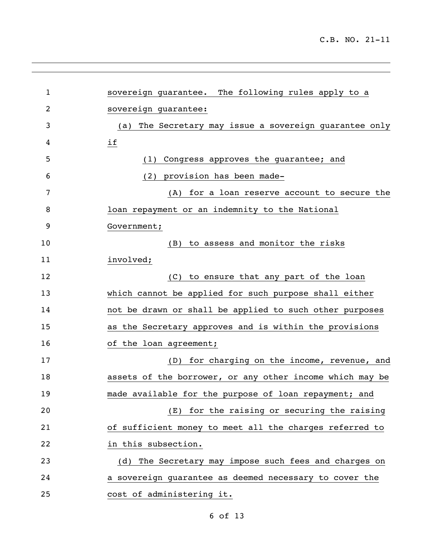| $\mathbf 1$ | sovereign guarantee. The following rules apply to a       |
|-------------|-----------------------------------------------------------|
| 2           | sovereign guarantee:                                      |
| 3           | The Secretary may issue a sovereign guarantee only<br>(a) |
| 4           | if                                                        |
| 5           | Congress approves the guarantee; and<br>(1)               |
| 6           | (2) provision has been made-                              |
| 7           | (A) for a loan reserve account to secure the              |
| 8           | loan repayment or an indemnity to the National            |
| 9           | Government;                                               |
| 10          | to assess and monitor the risks<br>(B)                    |
| 11          | involved;                                                 |
| 12          | (C) to ensure that any part of the loan                   |
| 13          | which cannot be applied for such purpose shall either     |
| 14          | not be drawn or shall be applied to such other purposes   |
| 15          | as the Secretary approves and is within the provisions    |
| 16          | of the loan agreement;                                    |
| 17          | for charging on the income, revenue, and<br>(D)           |
| 18          | assets of the borrower, or any other income which may be  |
| 19          | made available for the purpose of loan repayment; and     |
| 20          | for the raising or securing the raising<br>(E)            |
| 21          | of sufficient money to meet all the charges referred to   |
| 22          | in this subsection.                                       |
| 23          | (d) The Secretary may impose such fees and charges on     |
| 24          | a sovereign guarantee as deemed necessary to cover the    |
| 25          | cost of administering it.                                 |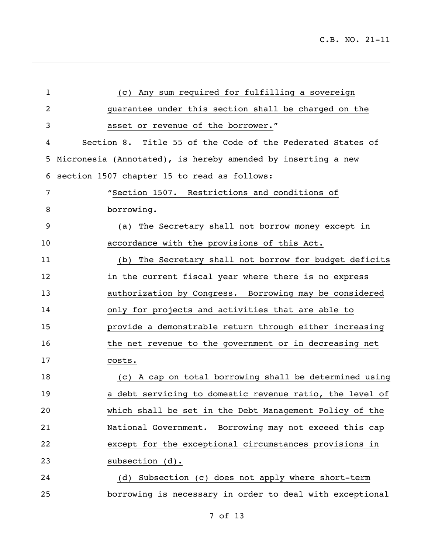| $\mathbf 1$    | (c) Any sum required for fulfilling a sovereign              |
|----------------|--------------------------------------------------------------|
| $\overline{2}$ | guarantee under this section shall be charged on the         |
| 3              | asset or revenue of the borrower."                           |
| 4              | Section 8. Title 55 of the Code of the Federated States of   |
| 5              | Micronesia (Annotated), is hereby amended by inserting a new |
| 6              | section 1507 chapter 15 to read as follows:                  |
| 7              | "Section 1507. Restrictions and conditions of                |
| 8              | borrowing.                                                   |
| 9              | The Secretary shall not borrow money except in<br>(a)        |
| 10             | accordance with the provisions of this Act.                  |
| 11             | (b) The Secretary shall not borrow for budget deficits       |
| 12             | in the current fiscal year where there is no express         |
| 13             | authorization by Congress. Borrowing may be considered       |
| 14             | only for projects and activities that are able to            |
| 15             | provide a demonstrable return through either increasing      |
| 16             | the net revenue to the government or in decreasing net       |
| 17             | costs.                                                       |
| 18             | (c) A cap on total borrowing shall be determined using       |
| 19             | a debt servicing to domestic revenue ratio, the level of     |
| 20             | which shall be set in the Debt Management Policy of the      |
| 21             | National Government. Borrowing may not exceed this cap       |
| 22             | except for the exceptional circumstances provisions in       |
| 23             | subsection (d).                                              |
| 24             | (d) Subsection (c) does not apply where short-term           |
| 25             | borrowing is necessary in order to deal with exceptional     |

<u> 1989 - Andrea San Andrea San Andrea San Andrea San Andrea San Andrea San Andrea San Andrea San Andrea San A</u>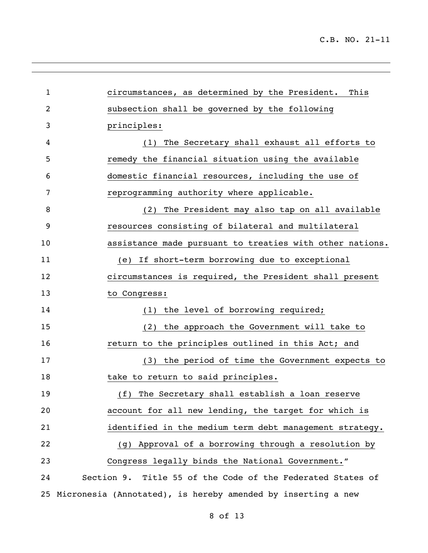C.B. NO. 21-11

<u> 1989 - Johann Stoff, fransk politik (d. 1989)</u>

| 1  | circumstances, as determined by the President. This          |
|----|--------------------------------------------------------------|
| 2  | subsection shall be governed by the following                |
| 3  | principles:                                                  |
| 4  | (1) The Secretary shall exhaust all efforts to               |
| 5  | remedy the financial situation using the available           |
| 6  | domestic financial resources, including the use of           |
| 7  | reprogramming authority where applicable.                    |
| 8  | (2) The President may also tap on all available              |
| 9  | resources consisting of bilateral and multilateral           |
| 10 | assistance made pursuant to treaties with other nations.     |
| 11 | (e) If short-term borrowing due to exceptional               |
| 12 | circumstances is required, the President shall present       |
| 13 | to Congress:                                                 |
| 14 | (1) the level of borrowing required;                         |
| 15 | (2) the approach the Government will take to                 |
| 16 | return to the principles outlined in this Act; and           |
| 17 | (3) the period of time the Government expects to             |
| 18 | take to return to said principles.                           |
| 19 | The Secretary shall establish a loan reserve<br>(f)          |
| 20 | account for all new lending, the target for which is         |
| 21 | identified in the medium term debt management strategy.      |
| 22 | (g) Approval of a borrowing through a resolution by          |
| 23 | Congress legally binds the National Government."             |
| 24 | Section 9. Title 55 of the Code of the Federated States of   |
| 25 | Micronesia (Annotated), is hereby amended by inserting a new |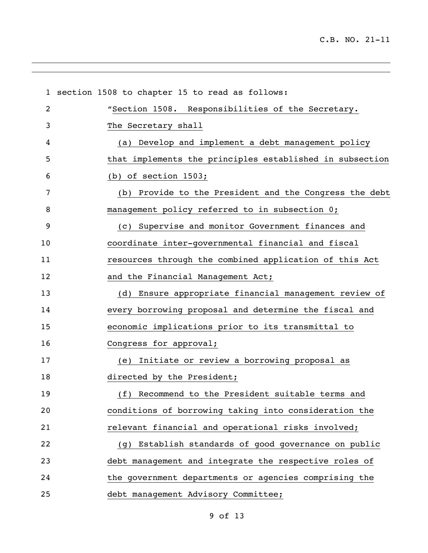|                | 1 section 1508 to chapter 15 to read as follows:         |
|----------------|----------------------------------------------------------|
| $\overline{2}$ | "Section 1508. Responsibilities of the Secretary.        |
| 3              | The Secretary shall                                      |
| 4              | (a) Develop and implement a debt management policy       |
| 5              | that implements the principles established in subsection |
| 6              | (b) of section $1503$ ;                                  |
| 7              | (b) Provide to the President and the Congress the debt   |
| 8              | management policy referred to in subsection 0;           |
| 9              | (c) Supervise and monitor Government finances and        |
| 10             | coordinate inter-governmental financial and fiscal       |
| 11             | resources through the combined application of this Act   |
| 12             | and the Financial Management Act;                        |
| 13             | (d) Ensure appropriate financial management review of    |
| 14             | every borrowing proposal and determine the fiscal and    |
| 15             | economic implications prior to its transmittal to        |
| 16             | Congress for approval;                                   |
| 17             | (e) Initiate or review a borrowing proposal as           |
| 18             | directed by the President;                               |
| 19             | (f) Recommend to the President suitable terms and        |
| 20             | conditions of borrowing taking into consideration the    |
| 21             | relevant financial and operational risks involved;       |
| 22             | Establish standards of good governance on public<br>(g)  |
| 23             | debt management and integrate the respective roles of    |
| 24             | the government departments or agencies comprising the    |
| 25             | debt management Advisory Committee;                      |

<u> 1989 - Andrea San Andrea San Andrea San Andrea San Andrea San Andrea San Andrea San Andrea San Andrea San A</u>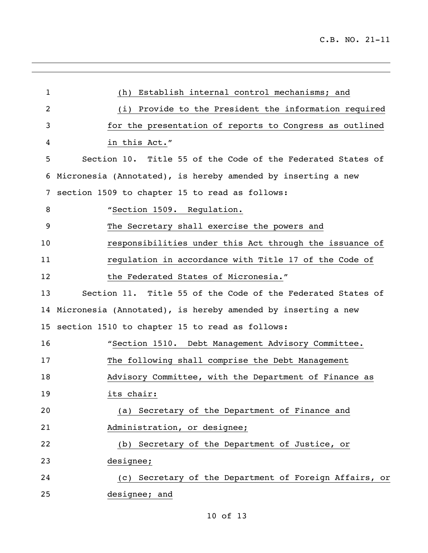| 1  | Establish internal control mechanisms; and<br>(h)               |
|----|-----------------------------------------------------------------|
| 2  | (i) Provide to the President the information required           |
| 3  | for the presentation of reports to Congress as outlined         |
| 4  | in this Act."                                                   |
| 5  | Section 10. Title 55 of the Code of the Federated States of     |
| 6  | Micronesia (Annotated), is hereby amended by inserting a new    |
| 7  | section 1509 to chapter 15 to read as follows:                  |
| 8  | "Section 1509. Regulation.                                      |
| 9  | The Secretary shall exercise the powers and                     |
| 10 | responsibilities under this Act through the issuance of         |
| 11 | regulation in accordance with Title 17 of the Code of           |
| 12 | the Federated States of Micronesia."                            |
| 13 | Section 11. Title 55 of the Code of the Federated States of     |
|    | 14 Micronesia (Annotated), is hereby amended by inserting a new |
|    | 15 section 1510 to chapter 15 to read as follows:               |
| 16 | "Section 1510. Debt Management Advisory Committee.              |
| 17 | The following shall comprise the Debt Management                |
| 18 | Advisory Committee, with the Department of Finance as           |
| 19 | its chair:                                                      |
| 20 | Secretary of the Department of Finance and<br>(a)               |
| 21 | Administration, or designee;                                    |
| 22 | (b) Secretary of the Department of Justice, or                  |
| 23 | designee;                                                       |
| 24 | (c) Secretary of the Department of Foreign Affairs, or          |
| 25 | designee; and                                                   |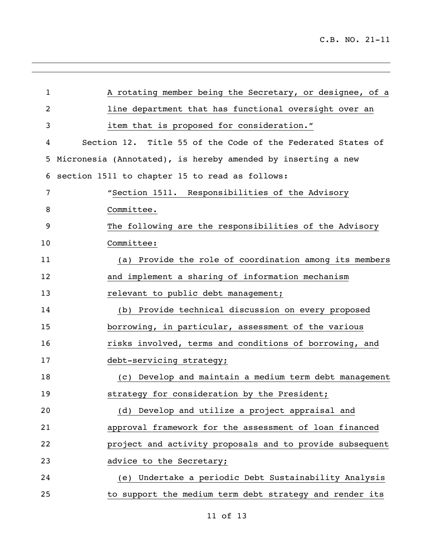| $\mathbf 1$ | A rotating member being the Secretary, or designee, of a     |
|-------------|--------------------------------------------------------------|
| 2           | line department that has functional oversight over an        |
| 3           | item that is proposed for consideration."                    |
| 4           | Section 12. Title 55 of the Code of the Federated States of  |
| 5           | Micronesia (Annotated), is hereby amended by inserting a new |
| 6           | section 1511 to chapter 15 to read as follows:               |
| 7           | "Section 1511. Responsibilities of the Advisory              |
| 8           | Committee.                                                   |
| 9           | The following are the responsibilities of the Advisory       |
| 10          | Committee:                                                   |
| 11          | (a) Provide the role of coordination among its members       |
| 12          | and implement a sharing of information mechanism             |
| 13          | relevant to public debt management;                          |
| 14          | (b) Provide technical discussion on every proposed           |
| 15          | borrowing, in particular, assessment of the various          |
| 16          | risks involved, terms and conditions of borrowing, and       |
| 17          | debt-servicing strategy;                                     |
| 18          | (c) Develop and maintain a medium term debt management       |
| 19          | strategy for consideration by the President;                 |
| 20          | (d) Develop and utilize a project appraisal and              |
| 21          | approval framework for the assessment of loan financed       |
| 22          | project and activity proposals and to provide subsequent     |
| 23          | advice to the Secretary;                                     |
| 24          | (e) Undertake a periodic Debt Sustainability Analysis        |
| 25          | to support the medium term debt strategy and render its      |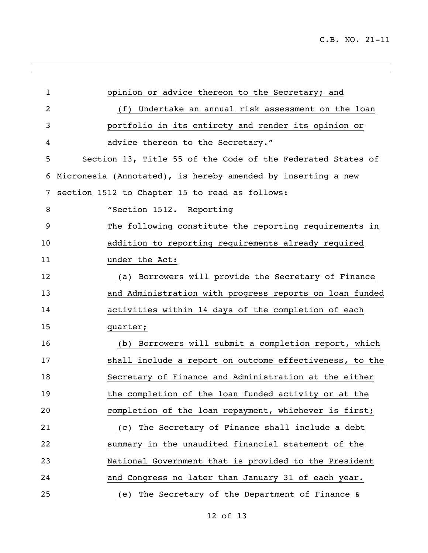| $\mathbf{1}$   | opinion or advice thereon to the Secretary; and              |
|----------------|--------------------------------------------------------------|
| $\overline{2}$ | (f) Undertake an annual risk assessment on the loan          |
| 3              | portfolio in its entirety and render its opinion or          |
| 4              | advice thereon to the Secretary."                            |
| 5              | Section 13, Title 55 of the Code of the Federated States of  |
| 6              | Micronesia (Annotated), is hereby amended by inserting a new |
| 7              | section 1512 to Chapter 15 to read as follows:               |
| 8              | "Section 1512. Reporting                                     |
| 9              | The following constitute the reporting requirements in       |
| 10             | addition to reporting requirements already required          |
| 11             | under the Act:                                               |
| 12             | (a) Borrowers will provide the Secretary of Finance          |
| 13             | and Administration with progress reports on loan funded      |
| 14             | activities within 14 days of the completion of each          |
| 15             | quarter;                                                     |
| 16             | (b) Borrowers will submit a completion report, which         |
| 17             | shall include a report on outcome effectiveness, to the      |
| 18             | Secretary of Finance and Administration at the either        |
| 19             | the completion of the loan funded activity or at the         |
| 20             | completion of the loan repayment, whichever is first;        |
| 21             | The Secretary of Finance shall include a debt<br>(C)         |
| 22             | summary in the unaudited financial statement of the          |
| 23             | National Government that is provided to the President        |
| 24             | and Congress no later than January 31 of each year.          |
| 25             | The Secretary of the Department of Finance &<br>(e)          |